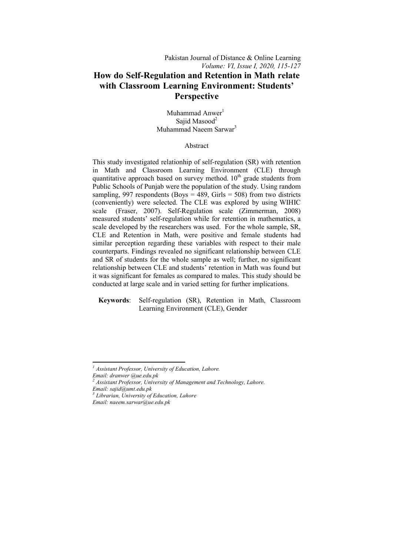Muhammad Anwer<sup>1</sup> Sajid Masood<sup>2</sup> Muhammad Naeem Sarwar3

# Abstract

This study investigated relationhip of self-regulation (SR) with retention in Math and Classroom Learning Environment (CLE) through quantitative approach based on survey method.  $10<sup>th</sup>$  grade students from Public Schools of Punjab were the population of the study. Using random sampling, 997 respondents (Boys =  $489$ , Girls =  $508$ ) from two districts (conveniently) were selected. The CLE was explored by using scale (Fraser, 2007). Self-Regulation scale (Zimmerman, 2008) measured students' self-regulation while for retention in mathematics, a scale developed by the researchers was used. For the whole sample, SR, CLE and Retention in Math, Math, were positive and female students had similar perception regarding these variables with respect to their male counterparts. Findings revealed no significant relationship between CLE similar perception regarding these variables with respect to their male counterparts. Findings revealed no significant relationship between CLE and SR of students for the whole sample as well; further, no significant relationship between CLE and students' retention in Math was found but it was significant for females as compared to males. This study should be conducted at large scale and in varied setting for further implications. significant for females as compared to males. This study should be ted at large scale and in varied setting for further implications.<br>words: Self-regulation (SR), Retention in Math, Classroom elation hip of self-regulation (SR) with retention<br>om Learning Environment (CLE) through<br>eed on survey method.  $10^{th}$  grade students from<br>were the population of the study. Using random<br>ts (Boys = 489, Girls = 508) from t 2007). Self-Regulation scale (Zimmerman, 2008)<br>
Self-regulation while for retention in mathematics,<br>
y the researchers was used. For the whole sample, SF<br>
on in Math, were positive and female students has<br>
regarding these

 **Keywords**: Learning Environment (CLE), Gender

**.** 

*<sup>1</sup> Assistant Professor, University of Education, Lahore.* 

*Email: dranwer @ue.edu.pk <sup>2</sup> Assistant Professor, University of Management and Technology, Lahore. Email: sajid@umt.edu.pk <sup>3</sup> Librarian, University of Education, Lahore*

*Email: naeem.sarwar@ue.edu.pk*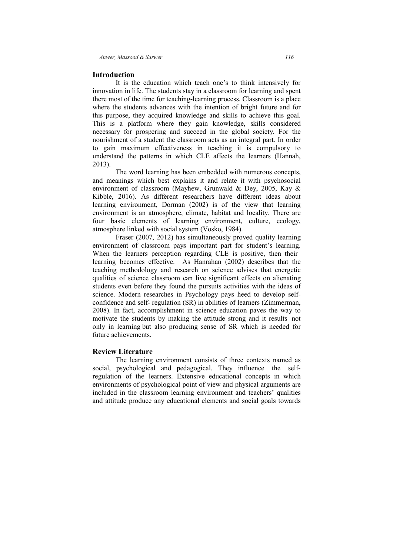# **Introduction**

It is the education which teach one's to think intensively for innovation in life. The students stay in a classroom for learning and spent innovation in life. The students stay in a classroom for learning and spent there most of the time for teaching-learning process. Classroom is a place where the students advances with the intention of bright future and for this purpose, they acquired knowledge and skills to achieve this goal. This is a platform where they gain knowledge, skills considered necessary for prospering and succeed in the global society. For the This is a platform where they gain knowledge, skills considered necessary for prospering and succeed in the global society. For the nourishment of a student the classroom acts as an integral part. In order to gain maximum effectiveness in teaching it is compulsory to understand the patterns in which CLE affects the learners (Hannah, 2013). ion which teach one's to think intensively for udents stay in a classroom for learning and spent r teaching-learning process. Classroom is a place inces with the intention of bright future and for irred knowledge and skil

The word learning has been embedded with numerous concepts, and meanings which best explains it and relate it with psychosocial environment of classroom (Mayhew, Grunwald & Dey, 2005, Kay & Kibble, 2016). As different researchers have different ideas about learning environment, Dorman (2002) is of the view that learning environment is an atmosphere, climate, habitat and locality. There are four basic elements of learning environment, culture, ecology, atmosphere linked with social system (Vosko, 1984). nderstand the patterns in which CLE affects the learners (Hannah<br>
113).<br>
The word learning has been embedded with numerous concepts<br>
and meanings which best explains it and relate it with psychosocia<br>
113).<br>
The word learn

Fraser (2007, 2012) has simultaneously proved quality learning environment of classroom pays important part for student's learning. When the learners perception regarding CLE is positive, then their learning becomes effective. As Hanrahan (2002) describes that the teaching methodology and research on science advises that energetic teaching methodology and research on science advises that energetic qualities of science classroom can live significant effects on alienating students even before they found the pursuits activities with the ideas of science. Modern researches in Psychology pays heed to develop self confidence and self- regulation (SR) in abilities of learners (Zimmerman, 2008). In fact, accomplishment in science education paves the way to motivate the students by making the attitude strong and it results 2008). In fact, accomplishment in science education paves the way to motivate the students by making the attitude strong and it results not only in learning but also producing sense of SR which is needed for future achievements. neer, *Massood* & *Sarwer*<br>
1/6<br>
In is the clucation which teach one's to think intensively<br>
116<br>
11 is the clucation which teach one's to think intensively<br>
11 is the intensivel the methor teaching-learning process. Class exection. As different researchers have different ideas about alger environment, Dorman (2002) is of the view that learning nment is an atmosphere, climate, habitat and locality. There are basic elements of learning enviro rs (Zimmerman,<br>aves the way to<br>ad it results not which is needed for<br>e contexts named as<br>nfluence the self-

# **Review Literature**

The learning environment consists of three contexts named as social, psychological and pedagogical. They influence the regulation of the learners. Extensive educational concepts in which environments of psychological point of view and physical arguments are included in the classroom learning environment and teachers' qualities regulation of the learners. Extensive educational concepts in which environments of psychological point of view and physical arguments are included in the classroom learning environment and teachers' qualities and attitude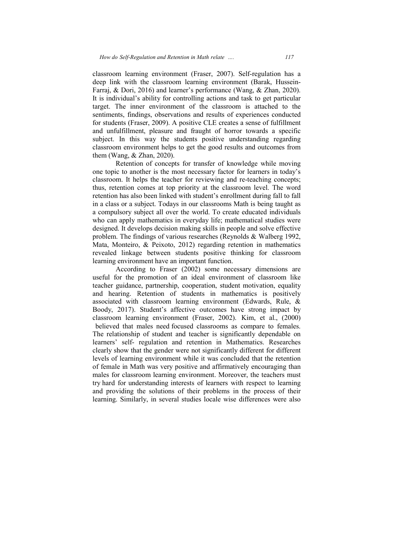classroom learni learning environment (Fraser, 2007). Self-regulation has a classroom learning environment (Fraser, 2007). Self-regulation has a deep link with the classroom learning environment (Barak, Hussein-Farraj, & Dori, 2016) and learner's performance (Wang, & Zhan, 2020). It is individual's ability for controlling actions and task to get particular target. The inner environment of the classroom is attached to the sentiments, findings, observations and results of experiences conducted for students (Fraser, 2009). A positive CLE creates a sense of fulfillment and unfulfillment, pleasure and fraught of horror towards a specific subject. In this way the students positive understanding regarding classroom environment helps to get the good results and outcomes from them (Wang, & Zhan, 2020). A positive CLE creates a sense of fulfillment<br>and fraught of horror towards a specific<br>students positive understanding regarding<br>is to get the good results and outcomes from<br>ts for transfer of knowledge while moving

Retention of concepts for transfer of knowledge while one topic to another is the most necessary factor for learners in today's classroom. It helps the teacher for reviewing and re-teaching concepts: thus, retention comes at top priority at the classroom level. The word retention has also been linked with student's enrollment during fall to fall in a class or a subject. Todays in our classrooms Math is being taught as a compulsory subject all over the world. To create educated individuals who can apply mathematics in everyday life; mathematical studies were designed. It develops decision making skills in people and solve effective problem. The findings of various researches (Reynolds & Walberg 1992, Mata, Monteiro, & Peixoto, 2012) regarding retention in mathematics revealed linkage between students positive thinking for classroom learning environment have an important function. 2020).<br>
2020).<br>
2020 to transfer of knowledge while moving<br>
2020 to the most necessary factor for learners in today's<br>
2020 to teacher for reviewing and re-teaching concepts; for reviewing and re-teaching concepts;<br>iority at the classroom level. The word<br>ith student's enrollment during fall to fall<br>n our classrooms Math is being taught as<br>he world. To create educated individuals<br>everyday life;

According to Fraser (2002) some necessary dimensions are revealed linkage between students positive thinking for classroom<br>learning environment have an important function.<br>According to Fraser (2002) some necessary dimensions are<br>useful for the promotion of an ideal environment o teacher guidance, partnership, cooperation, student motivation, equality and hearing. Retention of students in mathematics is positively associated with classroom learning environment (Edwards, Rule,  $\&$ associated with classroom learning environment (Edwards, Rule,  $\&$ Boody, 2017). Student's affective outcomes have strong impact by classroom learning environment (Fraser, 2002). Kim, et al., (2000) believed that males need focused classrooms as compare to females. The relationship of student and teacher is significantly dependable on The relationship of student and teacher is significantly dependable on learners' self- regulation and retention in Mathematics. Researches clearly show that the gender were not significantly different for different levels of learning environment while it was concluded that the retention of female in Math was very positive and affirmatively encouraging than males for classroom learning environment. Moreover, the teachers must try hard for understanding interests of learners with respect to learning and providing the solutions of their problems in the process of their and providing the solutions of their problems in the process of their learning. Similarly, in several studies locale wise differences were also to the classroom like<br>motivation, equality<br>matics is positively<br>(Edwards, Rule, &<br>re strong impact by<br>Kim, et al., (2000)<br>compare to females. f student and teacher is significantly dependably<br>gulation and retention in Mathematics. Resear<br>he gender were not significantly different for differentironment while it was concluded that the reter<br>was very positive and a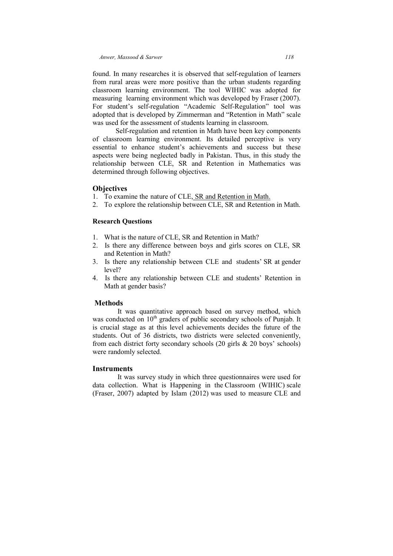found. In many researches it is observed that self-regulation of learners from rural areas were more positive than the urban students regarding found. In many researches it is observed that self-regulation of learners from rural areas were more positive than the urban students regarding classroom learning environment. The tool WIHIC was adopted for measuring learning environment which was developed by Fraser (2007). For student's self-regulation "Academic Self-Regulation" tool was adopted that is developed by Zimmerman and "Retention in Math" scale was used for the assessment of students learning in classroom.

Self-regulation and retention in Math have been key components of classroom learning environment. Its detailed perc perceptive is very essential to enhance student's achievements and success but these aspects were being neglected badly in Pakistan. Thus, in this study the relationship between CLE, SR and Retention in Mathematics was determined through following objectives. relationship between CLE, SR and Retention in Mathen<br>determined through following objectives.<br>**Objectives**<br>1. To examine the nature of CLE, SR and Retention in Math. ming environment which was developed by Fraser (2007).<br>
self-regulation "Academic Self-Regulation" tool was<br>
developed by Zimmerman and "Retention in Math" scale<br>
e assessment of students learning in classroom.<br>
gulation a

# **Objectives**

- 
- 2. To explore the relationship between CLE, SR and Retention in Math.

# **Research Questions Questions**

- 1. What is the nature of CLE, SR and Retention in Math?
- 2. Is there any difference between boys and girls scores on CLE, SR and Retention in Math?
- 3. Is there any relationship between CLE and students' SR at level?
- 4. Is there any relationship between CLE and students' Retention in Math at gender basis?

# **Methods**

It was quantitative approach based on survey method, which Math at gender basis?<br> **Methods**<br>
It was quantitative approach based on survey method, which<br>
was conducted on  $10^{\text{th}}$  graders of public secondary schools of Punjab. It is crucial stage as at this level achievements decides the future of the students. Out of 36 districts, two districts were selected conveniently, from each district forty secondary schools  $(20 \text{ girls} \& 20 \text{ boys}^{\circ} \text{ schools})$ were randomly selected. The any relationship between CLE and students' Retention in<br>at gender basis?<br>S<br>is the elected on 10<sup>th</sup> graders of public secondary schools of Punjab. It<br>stage as at this level achievements decides the future of the<br>Out o

# **Instruments**

It was survey study in which three questionnaires were used for data collection. What is Happening in the Classroom (WIHIC) (Fraser, 2007) adapted by Islam (2012) (2012) was used to measure CLE and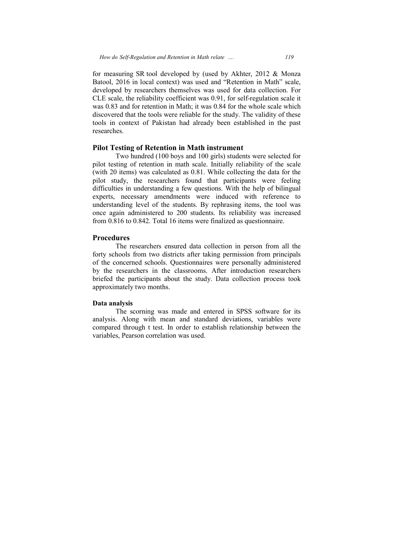for measuring SR tool developed by (used by Akhter, 2012 & Monza Batool, 2016 in local context) was used and "Retention in Math" scale, developed by researchers themselves was used for data collection. For developed by researchers themselves was used for data collection. For CLE scale, the reliability coefficient was 0.91, for self-regulation scale it was 0.83 and for retention in Math; it was 0.84 for the whole scale which was 0.83 and for retention in Math; it was 0.84 for the whole scale which discovered that the tools were reliable for the study. The validity of these tools in context of Pakistan had already been established in the past researches.

# **Pilot Testing of Retention in Math instrument**

Two hundred (100 boys and 100 girls) students were selected for pilot testing of retention in math scale. Initially reliability of the scale (with 20 items) was calculated as 0.81. While collecting the data for the pilot study, the researchers found that participants were feeling difficulties in understanding a few questions. With the help of bilingual experts, necessary amendments were induced with reference to understanding level of the students. By rephrasing items, the tool was once again administered to 200 students. Its reliability was increased from 0.816 to 0.842. Total 16 items were finalized as questionnaire. *How do Self-Regulation and Retention in Math relate* .... 119<br>
for measuring SR tool developed by (used by Akhter, 2012 & Mon<br>
Batool, 2016 in local context) was used and "Retention in Math" scale<br>
developed by researcher archers themselves was used for data collection. For ability coefficient was 0.91, for self-regulation scale it tention in Math, it was 0.84 for the whole scale which tools were reliable for the study. The validity of thes

# **Procedures**

The researchers ensured data collection in person from all the forty schools from two districts after taking permission from principals of the concerned schools. Ouestionnaires were personally administered by the researchers in the classrooms. After introduction researchers briefed the participants about the study. Data collection process took approximately two months. el of the students. By rephrasing items, the tool was<br>instered to 200 students. Its reliability was increased<br>2. Total 16 items were finalized as questionnaire.<br>rchers ensured data collection in person from all the<br>1 two d

# **Data analysis**

 The scorning was made and entered in SPSS software for its analysis. Along with mean and standard deviations, variables were compared through t test. In order to establish relationship between the variables, Pearson correlation was used.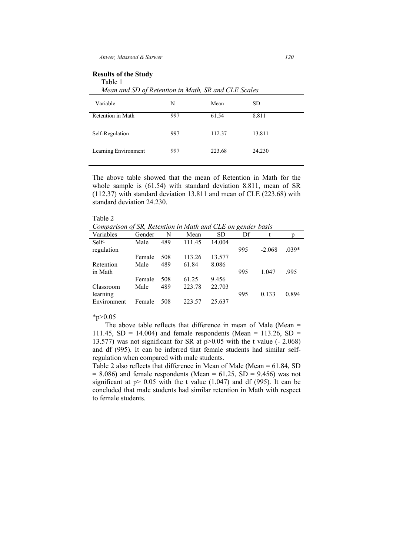# **Results of the Study**

Table 1

 *Mean and SD of Retention in Math, SR and CLE Scales* 

| Variable             | N   | Mean   | <b>SD</b> |
|----------------------|-----|--------|-----------|
| Retention in Math    | 997 | 61.54  | 8.811     |
| Self-Regulation      | 997 | 112.37 | 13.811    |
| Learning Environment | 997 | 223.68 | 24.230    |

The above table showed that the mean of Retention in Math for the whole sample is (61.54) with standard deviation 8.811, mean of SR (112.37) with standard deviation 13.811 and mean of CLE (223.68) with standard deviation 24.230.

#### Table 2

*Comparison of SR, Retention in Math and CLE on gender basis* 

| Variables   | Gender | N   | Mean   | <b>SD</b> | Df  |          | p       |
|-------------|--------|-----|--------|-----------|-----|----------|---------|
| Self-       | Male   | 489 | 111.45 | 14.004    |     |          |         |
| regulation  |        |     |        |           | 995 | $-2.068$ | $.039*$ |
|             | Female | 508 | 113.26 | 13.577    |     |          |         |
| Retention   | Male   | 489 | 61.84  | 8.086     |     |          |         |
| in Math     |        |     |        |           | 995 | 1.047    | .995    |
|             | Female | 508 | 61.25  | 9.456     |     |          |         |
| Classroom   | Male   | 489 | 223.78 | 22.703    |     |          |         |
| learning    |        |     |        |           | 995 | 0.133    | 0.894   |
| Environment | Female | 508 | 223.57 | 25.637    |     |          |         |
|             |        |     |        |           |     |          |         |

 $*_{p>0.05}$ 

 The above table reflects that difference in mean of Male (Mean = 111.45,  $SD = 14.004$ ) and female respondents (Mean = 113.26,  $SD =$ 13.577) was not significant for SR at p>0.05 with the t value (- 2.068) and df (995). It can be inferred that female students had similar selfregulation when compared with male students.

Table 2 also reflects that difference in Mean of Male (Mean = 61.84, SD  $= 8.086$ ) and female respondents (Mean  $= 61.25$ , SD  $= 9.456$ ) was not significant at  $p > 0.05$  with the t value (1.047) and df (995). It can be concluded that male students had similar retention in Math with respect to female students.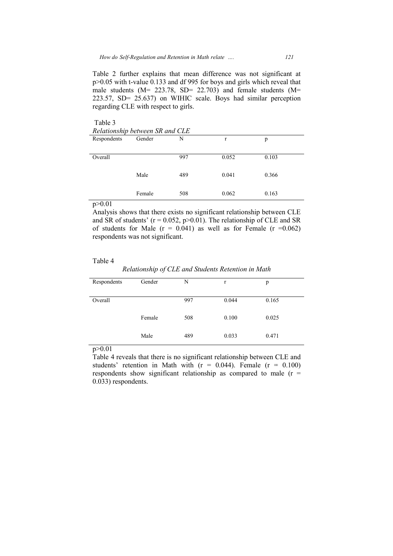Table 2 further explains that mean difference was not significant at Table 2 further explains that mean difference was not significant at  $p > 0.05$  with t-value 0.133 and df 995 for boys and girls which reveal that male students ( $M = 223.78$ , SD= 22.703) and female students ( $M =$ 223.57, SD= 25.637) on WIHIC scale. Boys had similar perception regarding CLE with respect to girls. value 0.133 and df 995 for boys and girls which<br>
i (M= 223.78, SD= 22.703) and female stu<br>
25.637) on WIHIC scale. Boys had similar<br>
E with respect to girls.<br>
Letween SR and CLE Gender N r p

| Table 3                         |        |     |       |       |  |  |
|---------------------------------|--------|-----|-------|-------|--|--|
| Relationship between SR and CLE |        |     |       |       |  |  |
| Respondents                     | Gender | N   | r     | p     |  |  |
|                                 |        |     |       |       |  |  |
| Overall                         |        | 997 | 0.052 | 0.103 |  |  |
|                                 |        |     |       |       |  |  |
|                                 | Male   | 489 | 0.041 | 0.366 |  |  |
|                                 |        |     |       |       |  |  |
|                                 | Female | 508 | 0.062 | 0.163 |  |  |
|                                 |        |     |       |       |  |  |

p>0.01

#### Table 4

*Relationship of CLE and Students Retention in Math*

| Analysis shows that there exists no significant relationship between CLE<br>and SR of students' $(r = 0.052, p > 0.01)$ . The relationship of CLE and SR<br>of students for Male $(r = 0.041)$ as well as for Female $(r = 0.062)$<br>respondents was not significant. |        |     |                                                    |       |
|------------------------------------------------------------------------------------------------------------------------------------------------------------------------------------------------------------------------------------------------------------------------|--------|-----|----------------------------------------------------|-------|
| Table 4                                                                                                                                                                                                                                                                |        |     | Relationship of CLE and Students Retention in Math |       |
|                                                                                                                                                                                                                                                                        |        |     |                                                    |       |
| Respondents                                                                                                                                                                                                                                                            | Gender | N   | $\mathbf r$                                        | p     |
|                                                                                                                                                                                                                                                                        |        |     |                                                    |       |
| Overall                                                                                                                                                                                                                                                                |        | 997 | 0.044                                              | 0.165 |
|                                                                                                                                                                                                                                                                        |        |     |                                                    |       |
|                                                                                                                                                                                                                                                                        | Female | 508 | 0.100                                              | 0.025 |
|                                                                                                                                                                                                                                                                        |        |     |                                                    |       |
|                                                                                                                                                                                                                                                                        |        |     |                                                    |       |
|                                                                                                                                                                                                                                                                        | Male   | 489 | 0.033                                              | 0.471 |
| p > 0.01                                                                                                                                                                                                                                                               |        |     |                                                    |       |
|                                                                                                                                                                                                                                                                        |        |     |                                                    |       |
| Table 4 reveals that there is no significant relationship between CLE and<br>students' retention in Math with $(r = 0.044)$ . Female $(r = 0.100)$                                                                                                                     |        |     |                                                    |       |
| respondents show significant relationship as compared to male $(r =$                                                                                                                                                                                                   |        |     |                                                    |       |
|                                                                                                                                                                                                                                                                        |        |     |                                                    |       |

Table 4 reveals that there is no significant relationship between CLE and students' retention in Math with  $(r = 0.044)$ . Female  $(r = 0.100)$ respondents show significant relationship as compared to male  $(r =$ 0.033) respondents.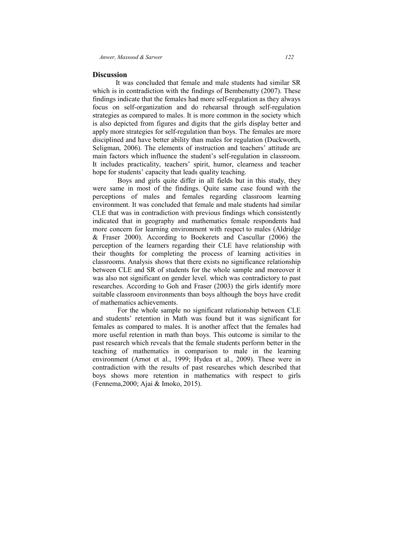# **Discussion**

It was concluded that female and male students had similar SR which is in contradiction with the findings of Bembenutty  $(2007)$ . These findings indicate that the females had more self-regulation as they always focus on self-organization and do rehearsal through self-regulation strategies as compared to males. It is more common in the society which is also depicted from figures and digits that the girls display better and apply more strategies for self-regulation than boys. The females are more disciplined and have better ability than males for regulation (Duckworth, Seligman, 2006). The elements of instruction and teachers' attitude are main factors which influence the student's self-regulation in classroom. It includes practicality, teachers' spirit, humor, clearness and teacher hope for students' capacity that leads quality teaching. ncluded that female and male students had similar SR<br>diction with the findings of Bembenutty (2007). These<br>that the females had more self-regulation as they always<br>ganization and do rehearsal through self-regulation<br>orared

Boys and girls quite differ in all fields but in this study, they were same in most of the findings. Quite same case found with the perceptions of males and females regarding classroom learning environment. It was concluded that female and male students had similar were same in most of the findings. Quite same case found with the perceptions of males and females regarding classroom learning environment. It was concluded that female and male students had similar CLE that was in contra indicated that in geography and mathematics female respondents had more concern for learning environment with respect to males (Aldridge & Fraser 2000). According to Boekerets and Cascullar (2006) the perception of the learners regarding their CLE have relationship with their thoughts for completing the process of learning activities in classrooms. Analysis shows that there exists no significance relationship between CLE and SR of students for the whole sample and moreover it was also not significant on gender level. which was contradictory to past researches. According to Goh and Fraser (2003) the girls identify more suitable classroom environments than boys although the boys have credit of mathematics achievements. nd Cascullar (2006) the<br>E have relationship with<br>of learning activities in<br>b significance relationship<br>e sample and moreover it<br>was contradictory to past<br>3) the girls identify more<br>ough the boys have credit<br>relationship be

For the whole sample no significant relationship between CLE lents' retention in Math was found but it was significant for as compared to males. It is another affect that the females had and students' retention in Math was found but it was significant f females as compared to males. It is another affect that the females had more useful retention in math than boys. This outcome is similar to the past research which reveals that the female students perform better in the teaching of mathematics in comparison to male in the learning environment (Arnot et al., 1999; Hydea et al., 2009). These were in contradiction with the results of past researches which described that boys shows more retention in mathematics with respect to girls (Fennema, 2000; Ajai contradiction with the results of past researches which described that boys shows more retention in mathematics with respect to girls (Fennema,2000; Ajai & Imok retention in math than boys. This outcome is similar to the which reveals that the female students perform better in the mathematics in comparison to male in the learning is another affect that the females h<br>n boys. This outcome is similar to t<br>e female students perform better in t<br>mparison to male in the learni<br>Hydea et al., 2009). These were<br>past researches which described the<br>mathematics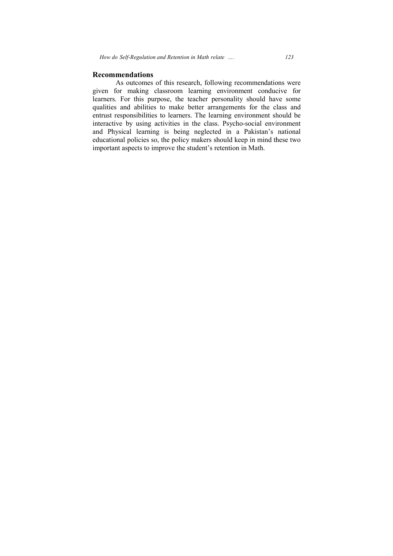# **Recommendations**

As outcomes of this research, following recommendations were given for making classroom learning environment conducive for learners. For this purpose, the teacher personality should have some learners. For this purpose, the teacher personality should have some qualities and abilities to make better arrangements for the class and entrust responsibilities to learners. The learning environment should be interactive by using activities in the class. Psycho-social environment and Physical learning is being neglected in a Pakistan's national educational policies so, the policy makers should keep in mind these two important aspects to improve the student's retention in Math. *do Self-Regulation and Retention in Math relate* .... 123<br> **1133**<br> **1233**<br> **1233**<br> **1233**<br> **1235**<br> **1235**<br> **1235**<br> **1235**<br> **1235**<br> **1235**<br> **1235**<br> **1235**<br> **1235**<br> **1235**<br> **1235**<br> **1235**<br> **1235**<br> **1235**<br> **1235**<br> **1235**<br> **1** this research, following recommendations version learning environment conducive<br>se, the teacher personality should have s<br>o make better arrangements for the class<br>o learners. The learning environment shoul<br>ivities in the c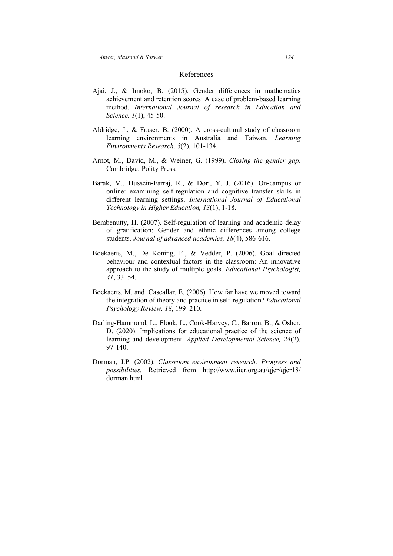# References

- Ajai, J., & Imoko, B. (2015). Gender differences in mathematics achievement and retention scores: A case of problem-based learning method. *International Journal of research in Education and Science, 1*(1), 45-50.
- Aldridge, J., & Fraser, B. (2000). A cross-cultural study of classroom learning environments in Australia and Taiwan. *Learning Environments Research, 3*(2), 101-134.
- Arnot, M., David, M., & Weiner, G. (1999). *Closing the gender gap*. Cambridge: Polity Press.
- Barak, M., Hussein-Farraj, R., & Dori, Y. J. (2016). On-campus or online: examining self-regulation and cognitive transfer skills in different learning settings. *International Journal of Educational Technology in Higher Education, 13*(1), 1-18.
- Bembenutty, H. (2007). Self-regulation of learning and academic delay of gratification: Gender and ethnic differences among college students. *Journal of advanced academics, 18*(4), 586-616.
- Boekaerts, M., De Koning, E., & Vedder, P. (2006). Goal directed behaviour and contextual factors in the classroom: An innovative approach to the study of multiple goals. *Educational Psychologist, 41*, 33–54.
- Boekaerts, M. and Cascallar, E. (2006). How far have we moved toward the integration of theory and practice in self-regulation? *Educational Psychology Review, 18*, 199–210.
- Darling-Hammond, L., Flook, L., Cook-Harvey, C., Barron, B., & Osher, D. (2020). Implications for educational practice of the science of learning and development. *Applied Developmental Science, 24*(2), 97-140.
- Dorman, J.P. (2002). *Classroom environment research: Progress and possibilities.* Retrieved from http://www.iier.org.au/qjer/qjer18/ dorman.html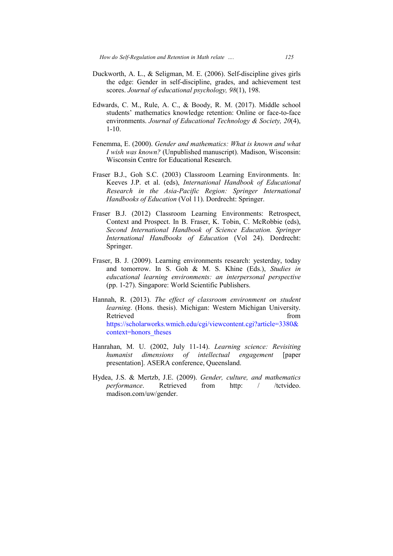- Duckworth, A. L., & Seligman, M. E. (2006). Self-discipline gives girls the edge: Gender in self-discipline, grades, and achievement test scores. *Journal of educational psychology*, 98(1), 198. , M. E. (2006). Self-discipline gives girls<br>discipline, grades, and achievement test<br>*nal psychology*,  $98(1)$ , 198.<br>& Boody, R. M. (2017). Middle school<br>weldge retention: Online or face-to-face
- Edwards, C. M., Rule, A. C., & Boody, R. M. (2017). Middle school students' mathematics knowledge retention: Online or face-to-face environments. Journal of Educational Technology & Society, 20(4), 1-10.
- Fenemma, E. (2000). Gender and mathematics: What is known and what *I wish was known?* (Unpublished manuscript). Madison, Wisconsin: Wisconsin Centre for Educational Research.
- Fraser B.J., Goh S.C. (2003) Classroom Learning Environments. In: er B.J., Goh S.C. (2003) Classroom Learning Environments. In:<br>Keeves J.P. et al. (eds), *International Handbook of Educational* Research in the Asia-Pacific Region: Springer International *Handbooks of Education* (Vol 11). Dordrecht: Springer.
- Fraser B.J. (2012) Classroom Learning Environments: Retrospect, Context and Prospect. In B. Fraser, K. Tobin, C. McRobbie (eds), *Second International Handbook of Science Education. Springer International Handbooks of Education* (Vol 24). Dordrecht: Springer.
- Fraser, B. J. (2009). Learning environments research: yesterday, today and tomorrow. In S. Goh & M. S. Khine (Eds.), *Studies in* educational learning environments: an interpersonal perspective (pp. 1-27). Singapore: World Scientific Publishers. (pp. 1-27). Singapore: World Scientific Publishers.<br>Hannah, R. (2013). *The effect of classroom environment on student*
- learning. (Hons. thesis). Michigan: Western Michigan University. Retrieved from the state of  $\sim$  from the state of  $\sim$  from the state of  $\sim$  from the state of  $\sim$  from the state of  $\sim$  from the state of  $\sim$  from the state of  $\sim$  from the state of  $\sim$  from the state of  $\sim$  from https://scholarworks.wmich.edu/cgi/viewcontent.cgi?article=3380& context=honors\_theses https://scholarworks.wmich.edu/cgi/viewcontent.cgi?article=3380&<br>context=honors\_theses<br>Hanrahan, M. U. (2002, July 11-14). *Learning science: Revisiting* Context and Prospect. In B. Fraser, K. Tobin, C. McRobbie (eds),<br>Second International Handbook of Science Education. Springer<br>International Handbooks of Education (Vol 24). Dordrecht:<br>Springer.<br>er, B. J. (2009). Learning e
- *humanist dimensions of intellectual engagement* presentation]. ASERA conference, Queensland.
- Hydea, J.S. & Mertzb, J.E. (2009). *Gender, culture, and mathematics Gender, performance* madison.com/uw/gender. Retrieved from http: / /tctvideo. from http: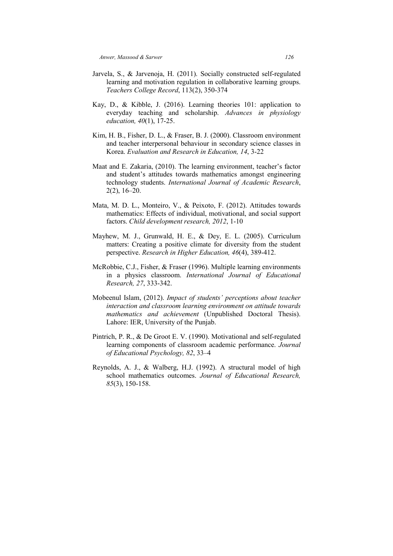- Jarvela, S., & Jarvenoja, H. (2011). Socially constructed self-regulated learning and motivation regulation in collaborative learning groups. *Teachers College Record*, 113(2), 350-374
- Kay, D., & Kibble, J. (2016). Learning theories 101: application to everyday teaching and scholarship. *Advances in physiology education, 40*(1), 17-25.
- Kim, H. B., Fisher, D. L., & Fraser, B. J. (2000). Classroom environment and teacher interpersonal behaviour in secondary science classes in Korea. *Evaluation and Research in Education, 14*, 3-22
- Maat and E. Zakaria, (2010). The learning environment, teacher's factor and student's attitudes towards mathematics amongst engineering technology students. *International Journal of Academic Research*, 2(2), 16–20.
- Mata, M. D. L., Monteiro, V., & Peixoto, F. (2012). Attitudes towards mathematics: Effects of individual, motivational, and social support factors. *Child development research, 2012*, 1-10
- Mayhew, M. J., Grunwald, H. E., & Dey, E. L. (2005). Curriculum matters: Creating a positive climate for diversity from the student perspective. *Research in Higher Education, 46*(4), 389-412.
- McRobbie, C.J., Fisher, & Fraser (1996). Multiple learning environments in a physics classroom. *International Journal of Educational Research, 27*, 333-342.
- Mobeenul Islam, (2012). *Impact of students' perceptions about teacher interaction and classroom learning environment on attitude towards mathematics and achievement* (Unpublished Doctoral Thesis). Lahore: IER, University of the Punjab.
- Pintrich, P. R., & De Groot E. V. (1990). Motivational and self-regulated learning components of classroom academic performance. *Journal of Educational Psychology, 82*, 33–4
- Reynolds, A. J., & Walberg, H.J. (1992). A structural model of high school mathematics outcomes. *Journal of Educational Research, 85*(3), 150-158.